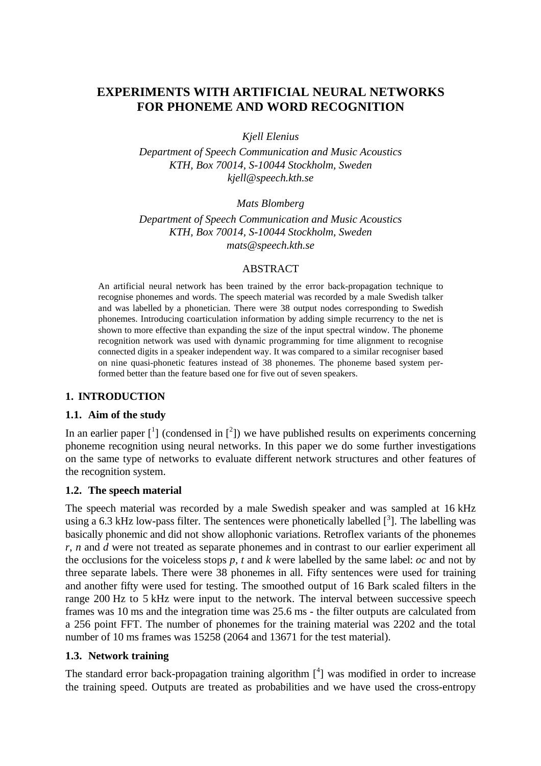# **EXPERIMENTS WITH ARTIFICIAL NEURAL NETWORKS FOR PHONEME AND WORD RECOGNITION**

*Kjell Elenius*

*Department of Speech Communication and Music Acoustics KTH, Box 70014, S-10044 Stockholm, Sweden kjell@speech.kth.se*

*Mats Blomberg*

*Department of Speech Communication and Music Acoustics KTH, Box 70014, S-10044 Stockholm, Sweden mats@speech.kth.se*

### ABSTRACT

An artificial neural network has been trained by the error back-propagation technique to recognise phonemes and words. The speech material was recorded by a male Swedish talker and was labelled by a phonetician. There were 38 output nodes corresponding to Swedish phonemes. Introducing coarticulation information by adding simple recurrency to the net is shown to more effective than expanding the size of the input spectral window. The phoneme recognition network was used with dynamic programming for time alignment to recognise connected digits in a speaker independent way. It was compared to a similar recogniser based on nine quasi-phonetic features instead of 38 phonemes. The phoneme based system performed better than the feature based one for five out of seven speakers.

# **1. INTRODUCTION**

# **1.1. Aim of the study**

In an earlier paper  $\begin{bmatrix} 1 \end{bmatrix}$  (condensed in  $\begin{bmatrix} 2 \end{bmatrix}$ ) we have published results on experiments concerning phoneme recognition using neural networks. In this paper we do some further investigations on the same type of networks to evaluate different network structures and other features of the recognition system.

#### **1.2. The speech material**

The speech material was recorded by a male Swedish speaker and was sampled at 16 kHz using a 6.3 kHz low-pass filter. The sentences were phonetically labelled  $\left[ \begin{array}{c} 3 \end{array} \right]$ . The labelling was basically phonemic and did not show allophonic variations. Retroflex variants of the phonemes *r*, *n* and *d* were not treated as separate phonemes and in contrast to our earlier experiment all the occlusions for the voiceless stops *p, t* and *k* were labelled by the same label: *oc* and not by three separate labels. There were 38 phonemes in all. Fifty sentences were used for training and another fifty were used for testing. The smoothed output of 16 Bark scaled filters in the range 200 Hz to 5 kHz were input to the network. The interval between successive speech frames was 10 ms and the integration time was 25.6 ms - the filter outputs are calculated from a 256 point FFT. The number of phonemes for the training material was 2202 and the total number of 10 ms frames was 15258 (2064 and 13671 for the test material).

# **1.3. Network training**

The standard error back-propagation training algorithm  $[4]$  was modified in order to increase the training speed. Outputs are treated as probabilities and we have used the cross-entropy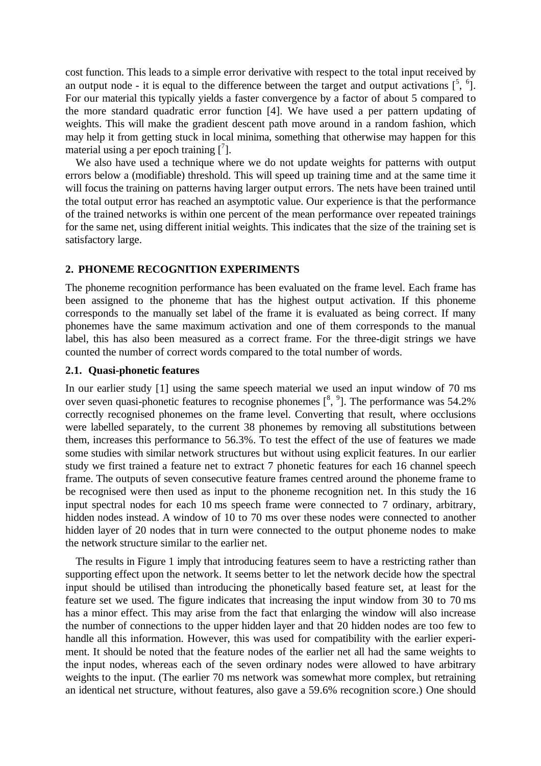cost function. This leads to a simple error derivative with respect to the total input received by an output node - it is equal to the difference between the target and output activations  $\left[ \begin{matrix} 5 & 6 \end{matrix} \right]$ . For our material this typically yields a faster convergence by a factor of about 5 compared to the more standard quadratic error function [4]. We have used a per pattern updating of weights. This will make the gradient descent path move around in a random fashion, which may help it from getting stuck in local minima, something that otherwise may happen for this material using a per epoch training  $\begin{bmatrix} 7 \end{bmatrix}$ .

We also have used a technique where we do not update weights for patterns with output errors below a (modifiable) threshold. This will speed up training time and at the same time it will focus the training on patterns having larger output errors. The nets have been trained until the total output error has reached an asymptotic value. Our experience is that the performance of the trained networks is within one percent of the mean performance over repeated trainings for the same net, using different initial weights. This indicates that the size of the training set is satisfactory large.

#### **2. PHONEME RECOGNITION EXPERIMENTS**

The phoneme recognition performance has been evaluated on the frame level. Each frame has been assigned to the phoneme that has the highest output activation. If this phoneme corresponds to the manually set label of the frame it is evaluated as being correct. If many phonemes have the same maximum activation and one of them corresponds to the manual label, this has also been measured as a correct frame. For the three-digit strings we have counted the number of correct words compared to the total number of words.

#### **2.1. Quasi-phonetic features**

In our earlier study [1] using the same speech material we used an input window of 70 ms over seven quasi-phonetic features to recognise phonemes  $\binom{8}{3}$ . The performance was 54.2% correctly recognised phonemes on the frame level. Converting that result, where occlusions were labelled separately, to the current 38 phonemes by removing all substitutions between them, increases this performance to 56.3%. To test the effect of the use of features we made some studies with similar network structures but without using explicit features. In our earlier study we first trained a feature net to extract 7 phonetic features for each 16 channel speech frame. The outputs of seven consecutive feature frames centred around the phoneme frame to be recognised were then used as input to the phoneme recognition net. In this study the 16 input spectral nodes for each 10 ms speech frame were connected to 7 ordinary, arbitrary, hidden nodes instead. A window of 10 to 70 ms over these nodes were connected to another hidden layer of 20 nodes that in turn were connected to the output phoneme nodes to make the network structure similar to the earlier net.

The results in Figure 1 imply that introducing features seem to have a restricting rather than supporting effect upon the network. It seems better to let the network decide how the spectral input should be utilised than introducing the phonetically based feature set, at least for the feature set we used. The figure indicates that increasing the input window from 30 to 70 ms has a minor effect. This may arise from the fact that enlarging the window will also increase the number of connections to the upper hidden layer and that 20 hidden nodes are too few to handle all this information. However, this was used for compatibility with the earlier experiment. It should be noted that the feature nodes of the earlier net all had the same weights to the input nodes, whereas each of the seven ordinary nodes were allowed to have arbitrary weights to the input. (The earlier 70 ms network was somewhat more complex, but retraining an identical net structure, without features, also gave a 59.6% recognition score.) One should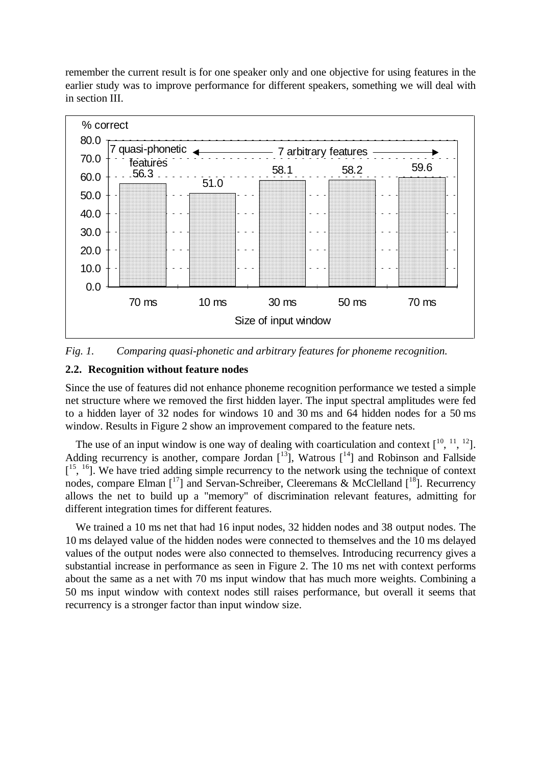remember the current result is for one speaker only and one objective for using features in the earlier study was to improve performance for different speakers, something we will deal with in section III.



*Fig. 1. Comparing quasi-phonetic and arbitrary features for phoneme recognition.*

### **2.2. Recognition without feature nodes**

Since the use of features did not enhance phoneme recognition performance we tested a simple net structure where we removed the first hidden layer. The input spectral amplitudes were fed to a hidden layer of 32 nodes for windows 10 and 30 ms and 64 hidden nodes for a 50 ms window. Results in Figure 2 show an improvement compared to the feature nets.

The use of an input window is one way of dealing with coarticulation and context  $[10, 11, 12]$ . Adding recurrency is another, compare Jordan  $\lceil 13 \rceil$ , Watrous  $\lceil 14 \rceil$  and Robinson and Fallside  $[1<sup>5</sup>, 1<sup>6</sup>]$ . We have tried adding simple recurrency to the network using the technique of context nodes, compare Elman  $\left[1^{17}\right]$  and Servan-Schreiber, Cleeremans & McClelland  $\left[1^{18}\right]$ . Recurrency allows the net to build up a "memory" of discrimination relevant features, admitting for different integration times for different features.

We trained a 10 ms net that had 16 input nodes, 32 hidden nodes and 38 output nodes. The 10 ms delayed value of the hidden nodes were connected to themselves and the 10 ms delayed values of the output nodes were also connected to themselves. Introducing recurrency gives a substantial increase in performance as seen in Figure 2. The 10 ms net with context performs about the same as a net with 70 ms input window that has much more weights. Combining a 50 ms input window with context nodes still raises performance, but overall it seems that recurrency is a stronger factor than input window size.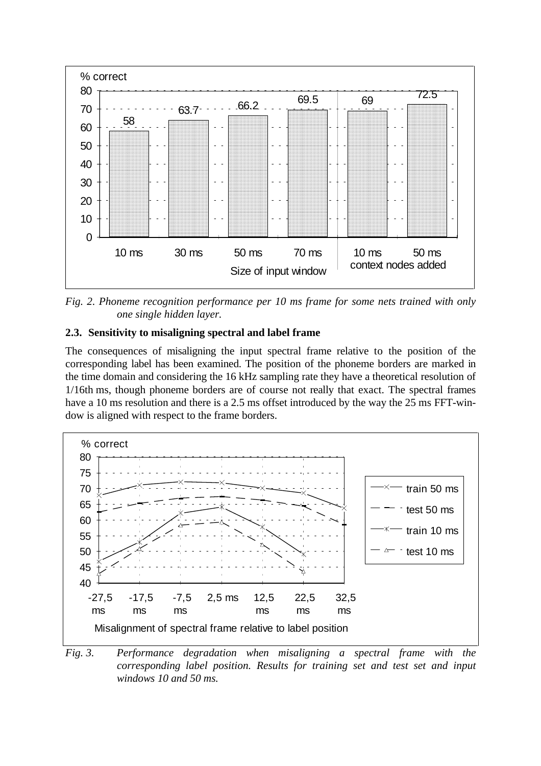

*Fig. 2. Phoneme recognition performance per 10 ms frame for some nets trained with only one single hidden layer.*

# **2.3. Sensitivity to misaligning spectral and label frame**

The consequences of misaligning the input spectral frame relative to the position of the corresponding label has been examined. The position of the phoneme borders are marked in the time domain and considering the 16 kHz sampling rate they have a theoretical resolution of 1/16th ms, though phoneme borders are of course not really that exact. The spectral frames have a 10 ms resolution and there is a 2.5 ms offset introduced by the way the 25 ms FFT-window is aligned with respect to the frame borders.



*Fig. 3. Performance degradation when misaligning a spectral frame with the corresponding label position. Results for training set and test set and input windows 10 and 50 ms.*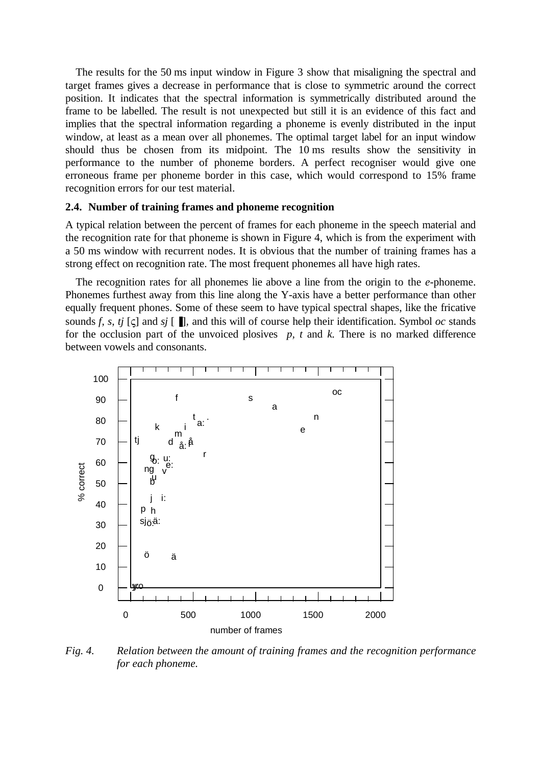The results for the 50 ms input window in Figure 3 show that misaligning the spectral and target frames gives a decrease in performance that is close to symmetric around the correct position. It indicates that the spectral information is symmetrically distributed around the frame to be labelled. The result is not unexpected but still it is an evidence of this fact and implies that the spectral information regarding a phoneme is evenly distributed in the input window, at least as a mean over all phonemes. The optimal target label for an input window should thus be chosen from its midpoint. The 10 ms results show the sensitivity in performance to the number of phoneme borders. A perfect recogniser would give one erroneous frame per phoneme border in this case, which would correspond to 15% frame recognition errors for our test material.

#### **2.4. Number of training frames and phoneme recognition**

A typical relation between the percent of frames for each phoneme in the speech material and the recognition rate for that phoneme is shown in Figure 4, which is from the experiment with a 50 ms window with recurrent nodes. It is obvious that the number of training frames has a strong effect on recognition rate. The most frequent phonemes all have high rates.

The recognition rates for all phonemes lie above a line from the origin to the *e*-phoneme. Phonemes furthest away from this line along the Y-axis have a better performance than other equally frequent phones. Some of these seem to have typical spectral shapes, like the fricative sounds *f*, *s*, *tj*  $\lceil \mathbf{c} \rceil$  and *sj*  $\lceil \mathbf{m} \rceil$ *,* and this will of course help their identification. Symbol *oc* stands for the occlusion part of the unvoiced plosives  $p$ ,  $t$  and  $k$ . There is no marked difference between vowels and consonants.



*Fig. 4. Relation between the amount of training frames and the recognition performance for each phoneme.*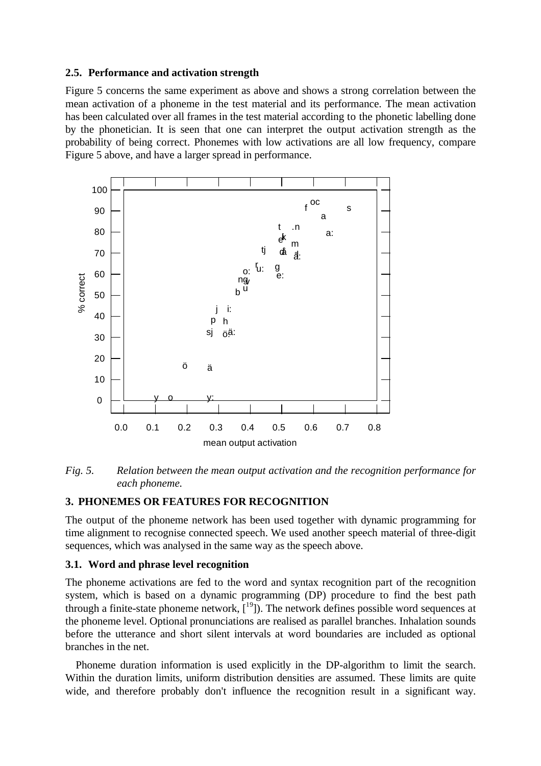### **2.5. Performance and activation strength**

Figure 5 concerns the same experiment as above and shows a strong correlation between the mean activation of a phoneme in the test material and its performance. The mean activation has been calculated over all frames in the test material according to the phonetic labelling done by the phonetician. It is seen that one can interpret the output activation strength as the probability of being correct. Phonemes with low activations are all low frequency, compare Figure 5 above, and have a larger spread in performance.



*Fig. 5. Relation between the mean output activation and the recognition performance for each phoneme.*

# **3. PHONEMES OR FEATURES FOR RECOGNITION**

The output of the phoneme network has been used together with dynamic programming for time alignment to recognise connected speech. We used another speech material of three-digit sequences, which was analysed in the same way as the speech above.

# **3.1. Word and phrase level recognition**

The phoneme activations are fed to the word and syntax recognition part of the recognition system, which is based on a dynamic programming (DP) procedure to find the best path through a finite-state phoneme network,  $[19]$ ). The network defines possible word sequences at the phoneme level. Optional pronunciations are realised as parallel branches. Inhalation sounds before the utterance and short silent intervals at word boundaries are included as optional branches in the net.

Phoneme duration information is used explicitly in the DP-algorithm to limit the search. Within the duration limits, uniform distribution densities are assumed. These limits are quite wide, and therefore probably don't influence the recognition result in a significant way.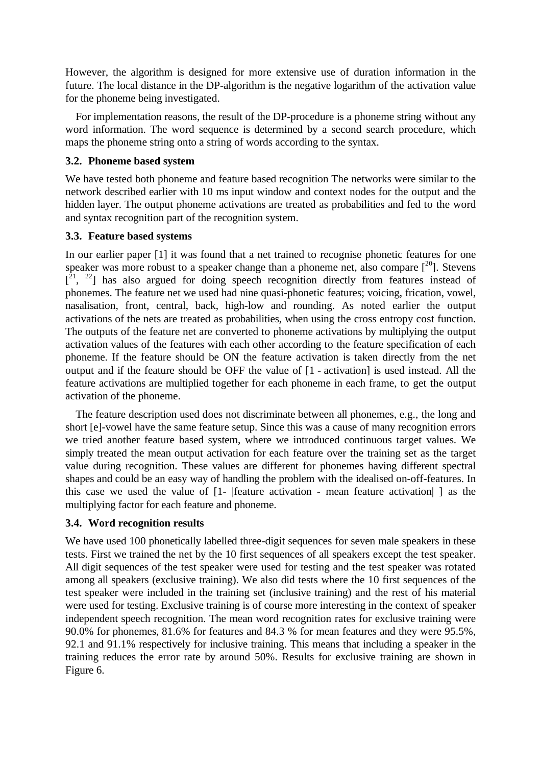However, the algorithm is designed for more extensive use of duration information in the future. The local distance in the DP-algorithm is the negative logarithm of the activation value for the phoneme being investigated.

For implementation reasons, the result of the DP-procedure is a phoneme string without any word information. The word sequence is determined by a second search procedure, which maps the phoneme string onto a string of words according to the syntax.

# **3.2. Phoneme based system**

We have tested both phoneme and feature based recognition The networks were similar to the network described earlier with 10 ms input window and context nodes for the output and the hidden layer. The output phoneme activations are treated as probabilities and fed to the word and syntax recognition part of the recognition system.

# **3.3. Feature based systems**

In our earlier paper [1] it was found that a net trained to recognise phonetic features for one speaker was more robust to a speaker change than a phoneme net, also compare  $\int_0^{20}$ . Stevens  $[2^1, 2^2]$  has also argued for doing speech recognition directly from features instead of phonemes. The feature net we used had nine quasi-phonetic features; voicing, frication, vowel, nasalisation, front, central, back, high-low and rounding. As noted earlier the output activations of the nets are treated as probabilities, when using the cross entropy cost function. The outputs of the feature net are converted to phoneme activations by multiplying the output activation values of the features with each other according to the feature specification of each phoneme. If the feature should be ON the feature activation is taken directly from the net output and if the feature should be OFF the value of [1 - activation] is used instead. All the feature activations are multiplied together for each phoneme in each frame, to get the output activation of the phoneme.

The feature description used does not discriminate between all phonemes, e.g., the long and short [e]-vowel have the same feature setup. Since this was a cause of many recognition errors we tried another feature based system, where we introduced continuous target values. We simply treated the mean output activation for each feature over the training set as the target value during recognition. These values are different for phonemes having different spectral shapes and could be an easy way of handling the problem with the idealised on-off-features. In this case we used the value of [1- |feature activation - mean feature activation| ] as the multiplying factor for each feature and phoneme.

# **3.4. Word recognition results**

We have used 100 phonetically labelled three-digit sequences for seven male speakers in these tests. First we trained the net by the 10 first sequences of all speakers except the test speaker. All digit sequences of the test speaker were used for testing and the test speaker was rotated among all speakers (exclusive training). We also did tests where the 10 first sequences of the test speaker were included in the training set (inclusive training) and the rest of his material were used for testing. Exclusive training is of course more interesting in the context of speaker independent speech recognition. The mean word recognition rates for exclusive training were 90.0% for phonemes, 81.6% for features and 84.3 % for mean features and they were 95.5%, 92.1 and 91.1% respectively for inclusive training. This means that including a speaker in the training reduces the error rate by around 50%. Results for exclusive training are shown in Figure 6.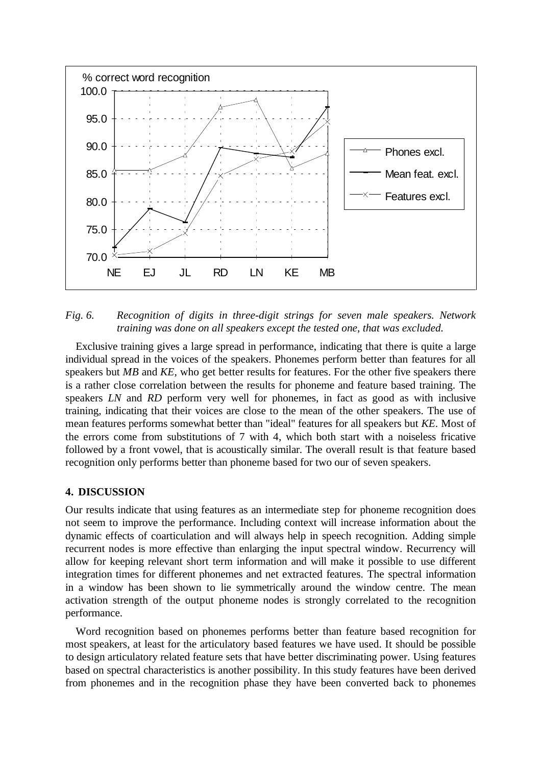

*Fig. 6. Recognition of digits in three-digit strings for seven male speakers. Network training was done on all speakers except the tested one, that was excluded.*

Exclusive training gives a large spread in performance, indicating that there is quite a large individual spread in the voices of the speakers. Phonemes perform better than features for all speakers but *MB* and *KE*, who get better results for features. For the other five speakers there is a rather close correlation between the results for phoneme and feature based training. The speakers *LN* and *RD* perform very well for phonemes, in fact as good as with inclusive training, indicating that their voices are close to the mean of the other speakers. The use of mean features performs somewhat better than "ideal" features for all speakers but *KE*. Most of the errors come from substitutions of 7 with 4, which both start with a noiseless fricative followed by a front vowel, that is acoustically similar. The overall result is that feature based recognition only performs better than phoneme based for two our of seven speakers.

#### **4. DISCUSSION**

Our results indicate that using features as an intermediate step for phoneme recognition does not seem to improve the performance. Including context will increase information about the dynamic effects of coarticulation and will always help in speech recognition. Adding simple recurrent nodes is more effective than enlarging the input spectral window. Recurrency will allow for keeping relevant short term information and will make it possible to use different integration times for different phonemes and net extracted features. The spectral information in a window has been shown to lie symmetrically around the window centre. The mean activation strength of the output phoneme nodes is strongly correlated to the recognition performance.

Word recognition based on phonemes performs better than feature based recognition for most speakers, at least for the articulatory based features we have used. It should be possible to design articulatory related feature sets that have better discriminating power. Using features based on spectral characteristics is another possibility. In this study features have been derived from phonemes and in the recognition phase they have been converted back to phonemes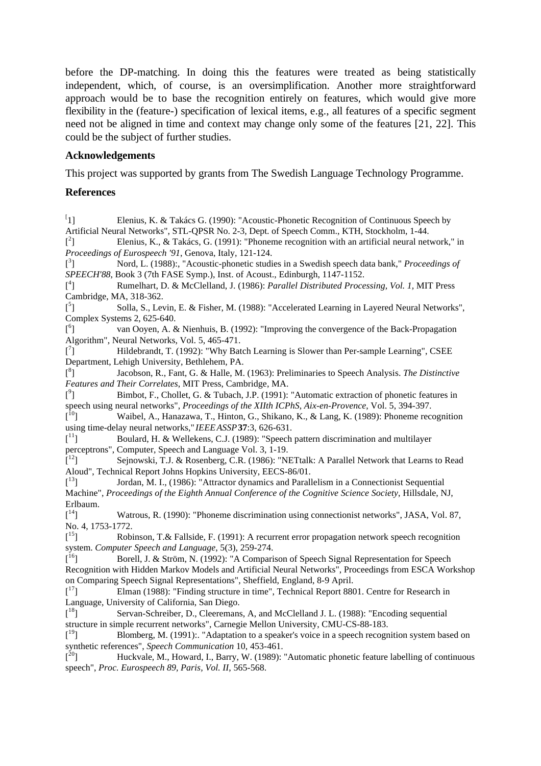before the DP-matching. In doing this the features were treated as being statistically independent, which, of course, is an oversimplification. Another more straightforward approach would be to base the recognition entirely on features, which would give more flexibility in the (feature-) specification of lexical items, e.g., all features of a specific segment need not be aligned in time and context may change only some of the features [21, 22]. This could be the subject of further studies.

### **Acknowledgements**

This project was supported by grants from The Swedish Language Technology Programme.

#### **References**

 $[1]$ 1] Elenius, K. & Takács G. (1990): "Acoustic-Phonetic Recognition of Continuous Speech by Artificial Neural Networks", STL-QPSR No. 2-3, Dept. of Speech Comm., KTH, Stockholm, 1-44.  $[$ <sup>2</sup> Elenius, K., & Takács, G. (1991): "Phoneme recognition with an artificial neural network," in *Proceedings of Eurospeech '91*, Genova, Italy, 121-124.  $[$ <sup>3</sup> ] Nord, L. (1988):, "Acoustic-phonetic studies in a Swedish speech data bank," *Proceedings of SPEECH'88*, Book 3 (7th FASE Symp.), Inst. of Acoust., Edinburgh, 1147-1152.  $[$ <sup>4</sup> ] Rumelhart, D. & McClelland, J. (1986): *Parallel Distributed Processing, Vol. 1,* MIT Press Cambridge, MA, 318-362.  $[$ <sup>5</sup> ] Solla, S., Levin, E. & Fisher, M. (1988): "Accelerated Learning in Layered Neural Networks", Complex Systems 2, 625-640.  $[$ <sup>6</sup> ] van Ooyen, A. & Nienhuis, B. (1992): "Improving the convergence of the Back-Propagation Algorithm", Neural Networks, Vol. 5, 465-471.  $[$ <sup>7</sup> ] Hildebrandt, T. (1992): "Why Batch Learning is Slower than Per-sample Learning", CSEE Department, Lehigh University, Bethlehem, PA.  $[$ <sup>8</sup> ] Jacobson, R., Fant, G. & Halle, M. (1963): Preliminaries to Speech Analysis. *The Distinctive Features and Their Correlates*, MIT Press, Cambridge, MA.  $[$ <sup>9</sup> ] Bimbot, F., Chollet, G. & Tubach, J.P. (1991): "Automatic extraction of phonetic features in speech using neural networks", *Proceedings of the XIIth ICPhS, Aix-en-Provence*, Vol. 5, 394-397.  $\mathbf{I}^{10}$ Waibel, A., Hanazawa, T., Hinton, G., Shikano, K., & Lang, K. (1989): Phoneme recognition using time-delay neural networks," *IEEEASSP***37**:3, 626-631.  $\left[ \begin{smallmatrix} 1 & 1 \ 1 & 1 \end{smallmatrix} \right]$ Boulard, H. & Wellekens, C.J. (1989): "Speech pattern discrimination and multilayer perceptrons", Computer, Speech and Language Vol. 3, 1-19.  $\left[ \begin{smallmatrix} 1 & 2 \\ 2 & 1 \end{smallmatrix} \right]$ Sejnowski, T.J. & Rosenberg, C.R. (1986): "NETtalk: A Parallel Network that Learns to Read Aloud", Technical Report Johns Hopkins University, EECS-86/01.  $\left[ \begin{matrix} 13 \\ 1 \end{matrix} \right]$ 13] Jordan, M. I., (1986): "Attractor dynamics and Parallelism in a Connectionist Sequential Machine", *Proceedings of the Eighth Annual Conference of the Cognitive Science Society*, Hillsdale, NJ, Erlbaum.  $\left[ \begin{smallmatrix} 14 \ 1 \end{smallmatrix} \right]$ Watrous, R. (1990): "Phoneme discrimination using connectionist networks", JASA, Vol. 87, No. 4, 1753-1772.  $\left[ \begin{matrix} 15 \\ 1 \end{matrix} \right]$ 15] Robinson, T.& Fallside, F. (1991): A recurrent error propagation network speech recognition system. *Computer Speech and Language*, 5(3), 259-274.  $\lceil$ <sup>16</sup>] Borell, J. & Ström, N. (1992): "A Comparison of Speech Signal Representation for Speech Recognition with Hidden Markov Models and Artificial Neural Networks", Proceedings from ESCA Workshop on Comparing Speech Signal Representations", Sheffield, England, 8-9 April.  $\left[ \begin{smallmatrix} 1 & 7 \\ 1 & 1 \end{smallmatrix} \right]$ Elman (1988): "Finding structure in time", Technical Report 8801. Centre for Research in Language, University of California, San Diego.  $\left[ \begin{matrix} 18 \\ 1 \end{matrix} \right]$ Servan-Schreiber, D., Cleeremans, A, and McClelland J. L. (1988): "Encoding sequential structure in simple recurrent networks", Carnegie Mellon University, CMU-CS-88-183.  $\left[ \begin{smallmatrix} 19 \ 1 \end{smallmatrix} \right]$ 19] Blomberg, M. (1991):. "Adaptation to a speaker's voice in a speech recognition system based on synthetic references", *Speech Communication* 10, 453-461.  $\left[ \begin{matrix} 20 \end{matrix} \right]$ Huckvale, M., Howard, I., Barry, W. (1989): "Automatic phonetic feature labelling of continuous speech", *Proc. Eurospeech 89, Paris, Vol. II*, 565-568.